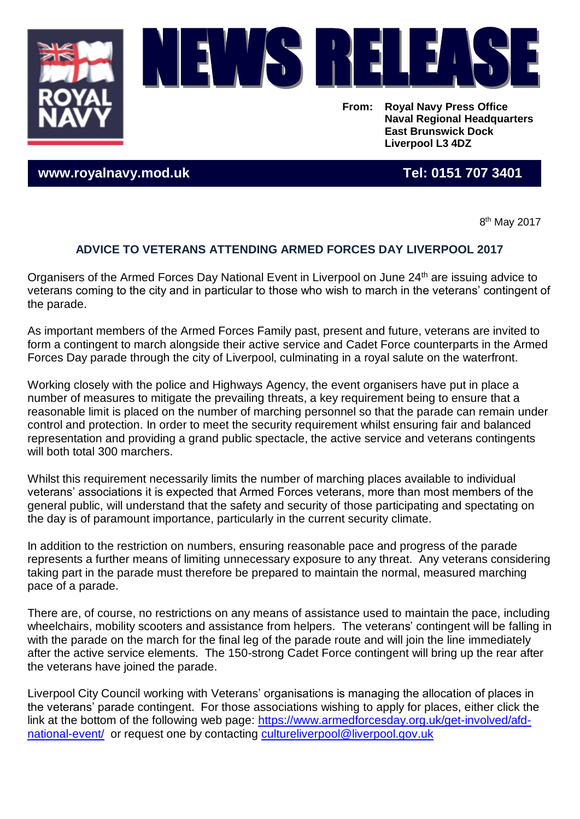



**From: Royal Navy Press Office Naval Regional Headquarters East Brunswick Dock Liverpool L3 4DZ**

**www.royalnavy.mod.uk Tel: 0151 707 3401**

8<sup>th</sup> May 2017

## **ADVICE TO VETERANS ATTENDING ARMED FORCES DAY LIVERPOOL 2017**

Organisers of the Armed Forces Day National Event in Liverpool on June 24<sup>th</sup> are issuing advice to veterans coming to the city and in particular to those who wish to march in the veterans' contingent of the parade.

As important members of the Armed Forces Family past, present and future, veterans are invited to form a contingent to march alongside their active service and Cadet Force counterparts in the Armed Forces Day parade through the city of Liverpool, culminating in a royal salute on the waterfront.

Working closely with the police and Highways Agency, the event organisers have put in place a number of measures to mitigate the prevailing threats, a key requirement being to ensure that a reasonable limit is placed on the number of marching personnel so that the parade can remain under control and protection. In order to meet the security requirement whilst ensuring fair and balanced representation and providing a grand public spectacle, the active service and veterans contingents will both total 300 marchers.

Whilst this requirement necessarily limits the number of marching places available to individual veterans' associations it is expected that Armed Forces veterans, more than most members of the general public, will understand that the safety and security of those participating and spectating on the day is of paramount importance, particularly in the current security climate.

In addition to the restriction on numbers, ensuring reasonable pace and progress of the parade represents a further means of limiting unnecessary exposure to any threat. Any veterans considering taking part in the parade must therefore be prepared to maintain the normal, measured marching pace of a parade.

There are, of course, no restrictions on any means of assistance used to maintain the pace, including wheelchairs, mobility scooters and assistance from helpers. The veterans' contingent will be falling in with the parade on the march for the final leg of the parade route and will join the line immediately after the active service elements. The 150-strong Cadet Force contingent will bring up the rear after the veterans have joined the parade.

Liverpool City Council working with Veterans' organisations is managing the allocation of places in the veterans' parade contingent. For those associations wishing to apply for places, either click the link at the bottom of the following web page: [https://www.armedforcesday.org.uk/get-involved/afd](https://www.armedforcesday.org.uk/get-involved/afd-national-event/)[national-event/](https://www.armedforcesday.org.uk/get-involved/afd-national-event/) or request one by contacting [cultureliverpool@liverpool.gov.uk](mailto:cultureliverpool@liverpool.gov.uk)